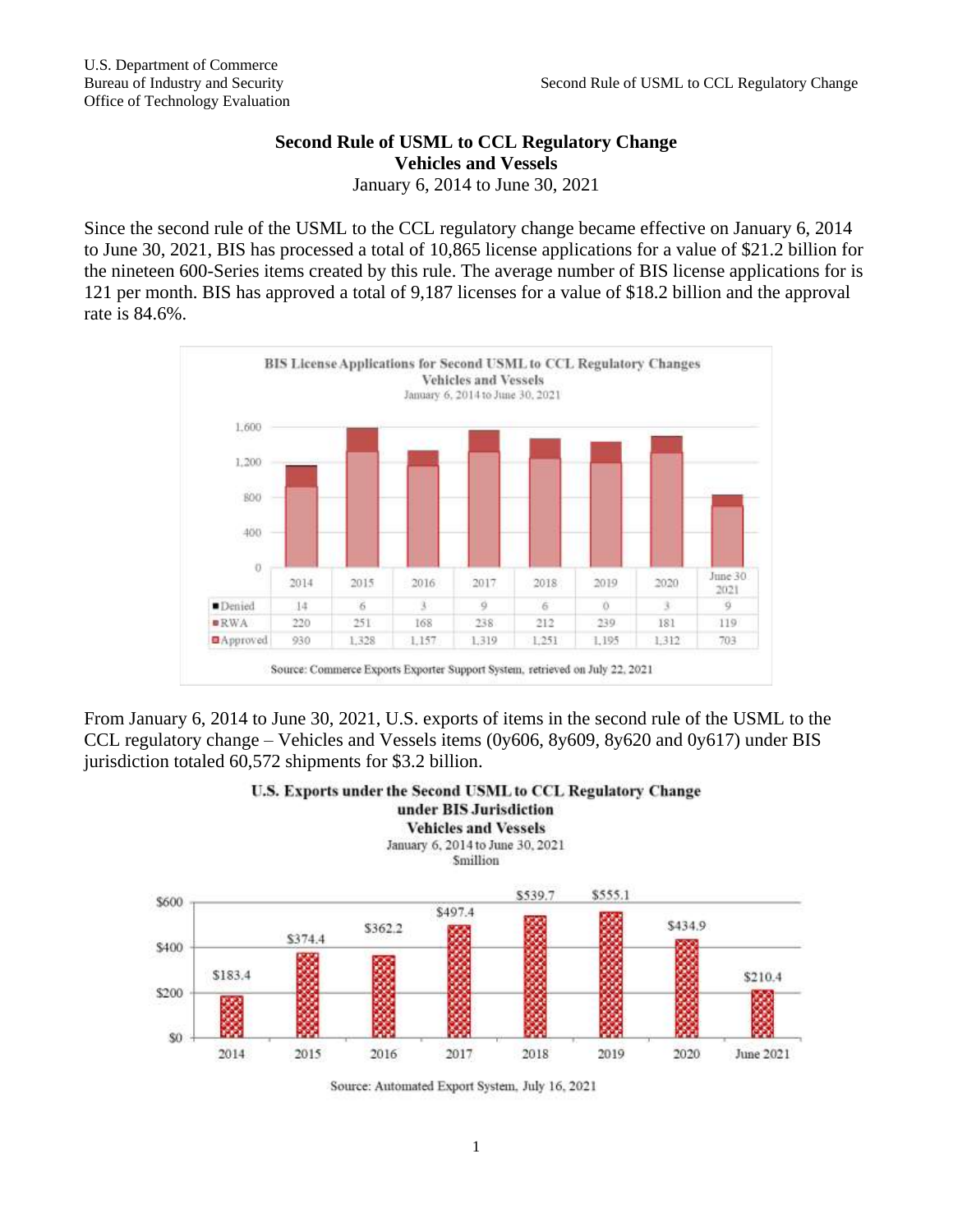## **Second Rule of USML to CCL Regulatory Change Vehicles and Vessels**

January 6, 2014 to June 30, 2021

Since the second rule of the USML to the CCL regulatory change became effective on January 6, 2014 to June 30, 2021, BIS has processed a total of 10,865 license applications for a value of \$21.2 billion for the nineteen 600-Series items created by this rule. The average number of BIS license applications for is 121 per month. BIS has approved a total of 9,187 licenses for a value of \$18.2 billion and the approval rate is 84.6%.



From January 6, 2014 to June 30, 2021, U.S. exports of items in the second rule of the USML to the CCL regulatory change – Vehicles and Vessels items (0y606, 8y609, 8y620 and 0y617) under BIS jurisdiction totaled 60,572 shipments for \$3.2 billion.



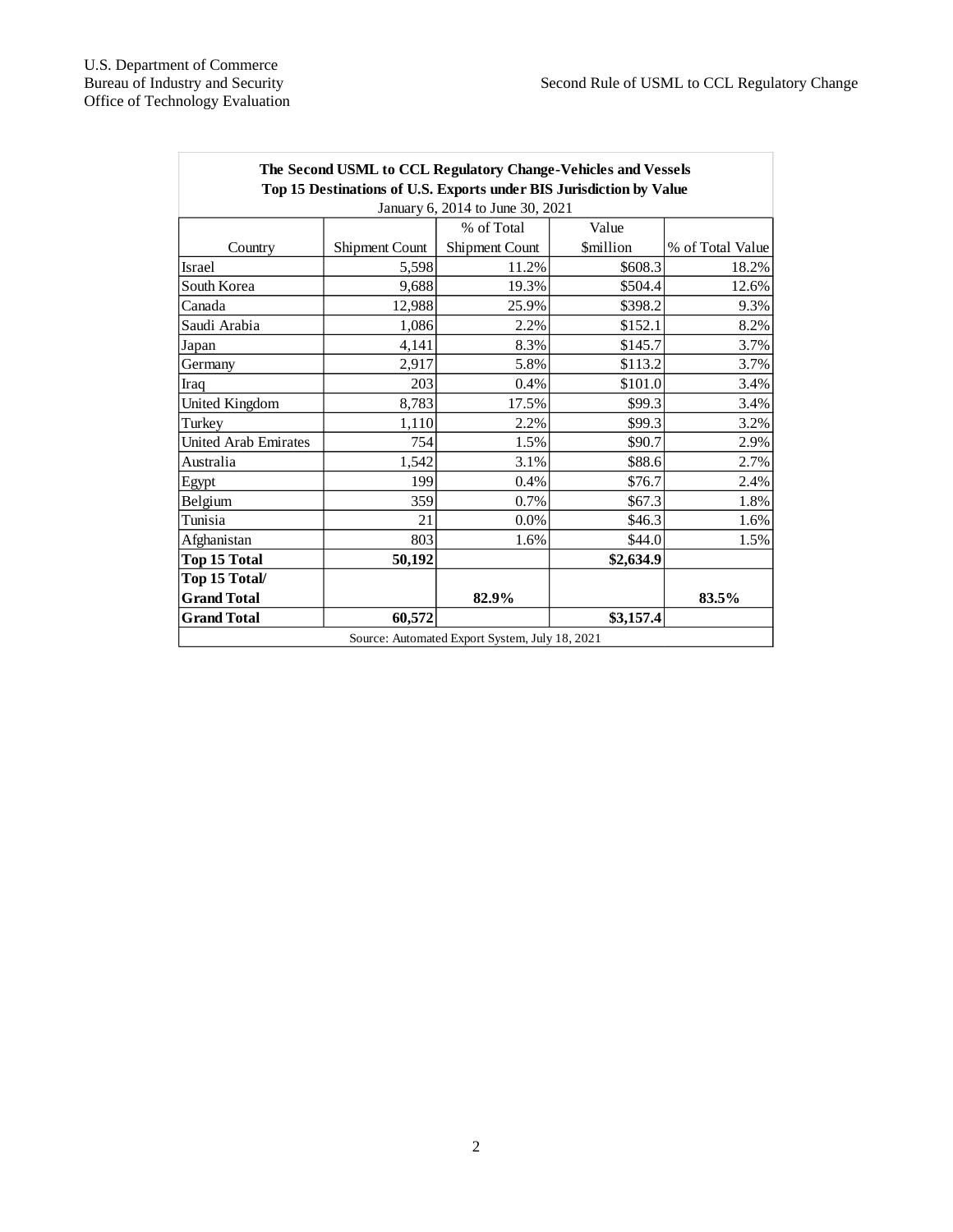| The Second USML to CCL Regulatory Change-Vehicles and Vessels       |                |                |                 |                  |
|---------------------------------------------------------------------|----------------|----------------|-----------------|------------------|
| Top 15 Destinations of U.S. Exports under BIS Jurisdiction by Value |                |                |                 |                  |
| January 6, 2014 to June 30, 2021                                    |                |                |                 |                  |
|                                                                     |                | % of Total     | Value           |                  |
| Country                                                             | Shipment Count | Shipment Count | <b>Smillion</b> | % of Total Value |
| <b>Israel</b>                                                       | 5,598          | 11.2%          | \$608.3         | 18.2%            |
| South Korea                                                         | 9,688          | 19.3%          | \$504.4         | 12.6%            |
| Canada                                                              | 12,988         | 25.9%          | \$398.2         | 9.3%             |
| Saudi Arabia                                                        | 1,086          | 2.2%           | \$152.1         | 8.2%             |
| Japan                                                               | 4,141          | 8.3%           | \$145.7         | 3.7%             |
| Germany                                                             | 2,917          | 5.8%           | \$113.2         | 3.7%             |
| Iraq                                                                | 203            | 0.4%           | \$101.0         | 3.4%             |
| United Kingdom                                                      | 8,783          | 17.5%          | \$99.3          | 3.4%             |
| Turkey                                                              | 1,110          | 2.2%           | \$99.3          | 3.2%             |
| <b>United Arab Emirates</b>                                         | 754            | 1.5%           | \$90.7          | 2.9%             |
| Australia                                                           | 1,542          | 3.1%           | \$88.6          | 2.7%             |
| Egypt                                                               | 199            | 0.4%           | \$76.7          | 2.4%             |
| Belgium                                                             | 359            | 0.7%           | \$67.3          | 1.8%             |
| Tunisia                                                             | 21             | 0.0%           | \$46.3          | 1.6%             |
| Afghanistan                                                         | 803            | 1.6%           | \$44.0          | 1.5%             |
| <b>Top 15 Total</b>                                                 | 50.192         |                | \$2,634.9       |                  |
| Top 15 Total/                                                       |                |                |                 |                  |
| <b>Grand Total</b>                                                  |                | 82.9%          |                 | 83.5%            |
| <b>Grand Total</b>                                                  | 60,572         |                | \$3,157.4       |                  |
| Source: Automated Export System, July 18, 2021                      |                |                |                 |                  |